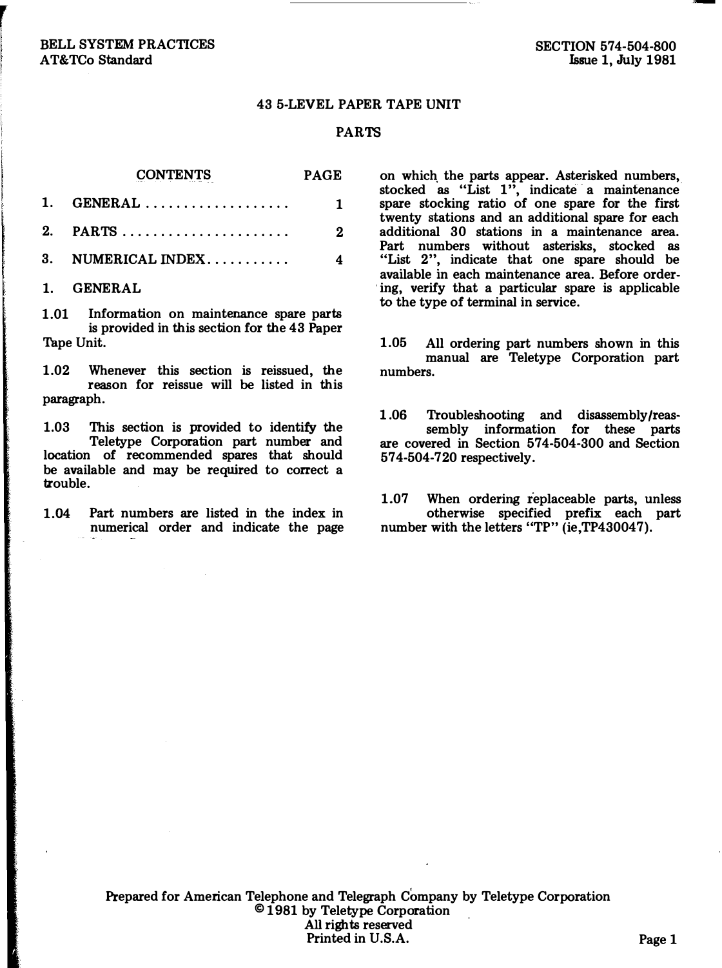## 43 5-LEVEL PAPER TAPE UNIT

## PARTS

CONTENTS PAGE

|                        | 2 |
|------------------------|---|
| 3. NUMERICAL INDEX $4$ |   |

1. GENERAL

1.01 Information on maintenance spare parts is provided in this section for the 43 Paper Tape Unit.

1.02 Whenever this section is reissued, the reason for reissue will be listed in this paragraph.

1.03 This section is provided to identify the Teletype Corporation part number and location of recommended spares that should be available and may be required to correct a trouble.

1.04 Part numbers are listed in the index in numerical order and indicate the page

on which. the parts appear. Asterisked numbers, stocked as "List 1 ", indicate a maintenance spare stocking ratio of one spare for the first twenty stations and an additional spare for each additional 30 stations in a maintenance area. Part numbers without asterisks, stocked as "List 2", indicate that one spare should be available in each maintenance area. Before order . ing, verify that a particular spare is applicable to the type of terminal in service.

1.05 All ordering part numbers shown in this manual are Teletype Corporation part numbers.

1 .06 Troubleshooting and disassembly/reassembly information for these parts are covered in Section 574-504-300 and Section 574-504-720 respectively.

1.07 When ordering replaceable parts, unless otherwise specified prefix each part number with the letters "TP" (ie, TP430047).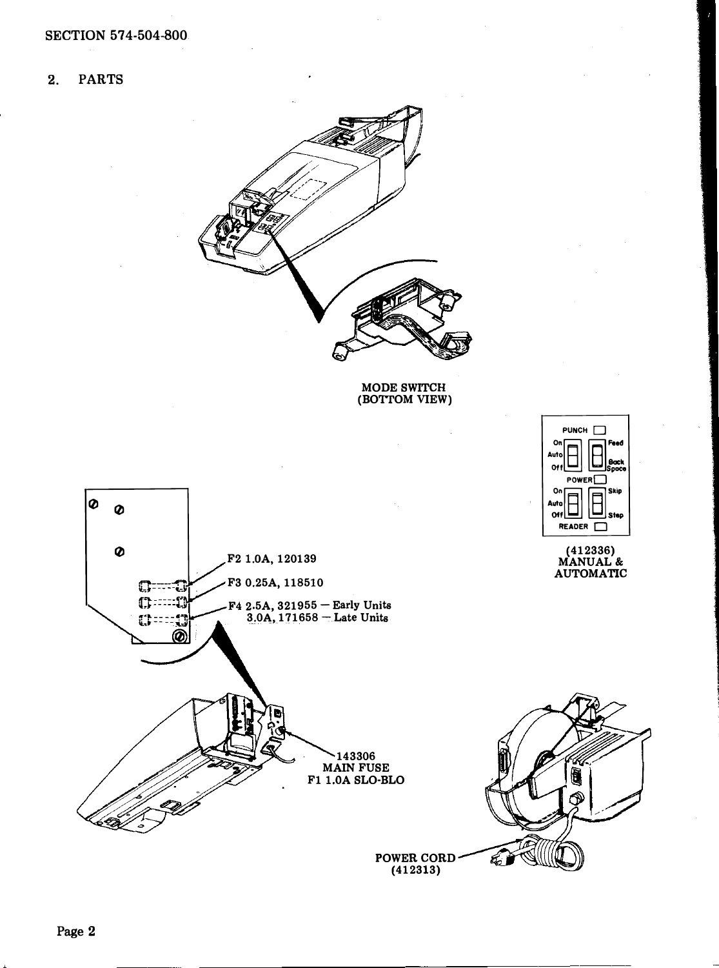**PARTS**  $2.$ 



MODE SWITCH<br>(BOTTOM VIEW)

 $PUNCH$ 

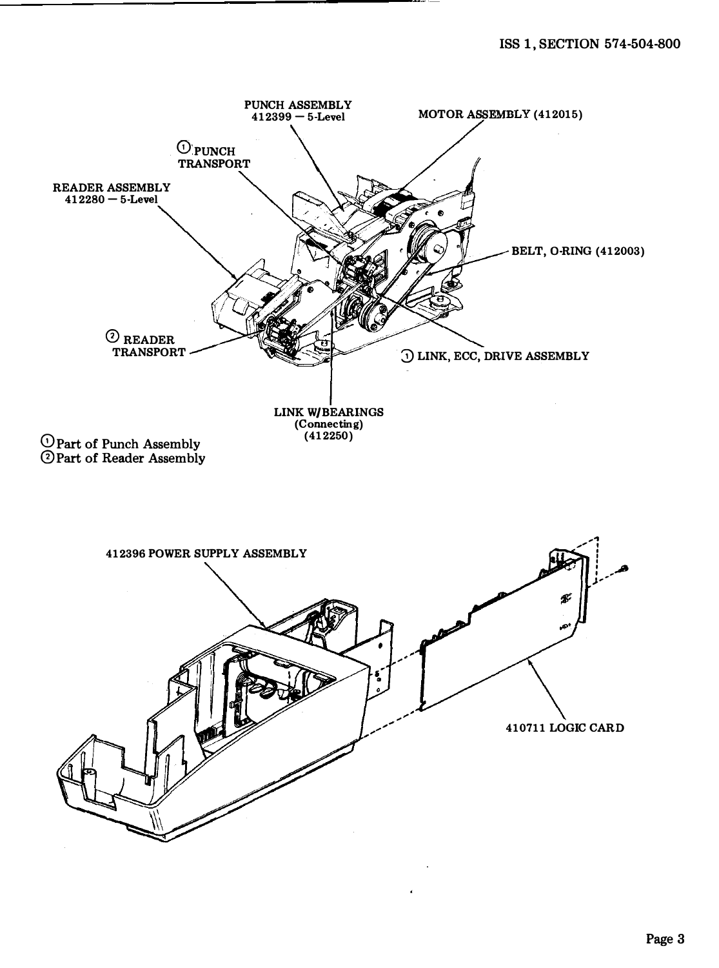. .